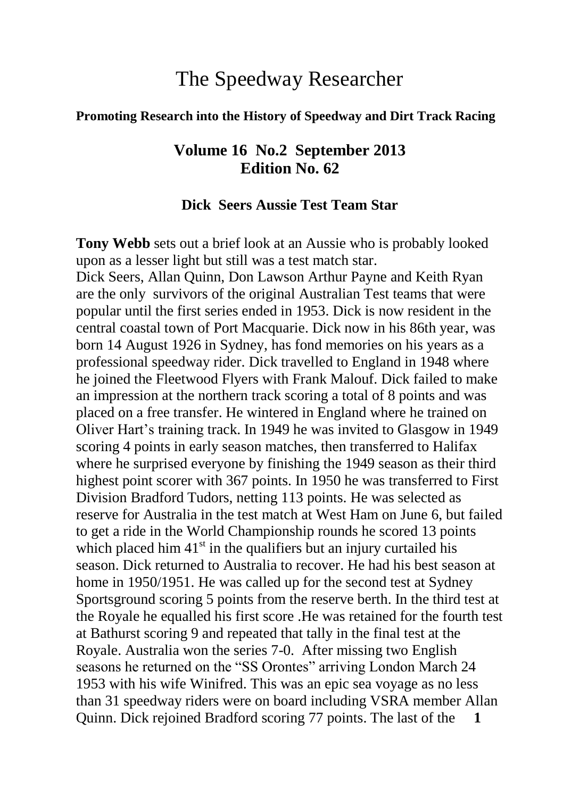# The Speedway Researcher

#### **Promoting Research into the History of Speedway and Dirt Track Racing**

### **Volume 16 No.2 September 2013 Edition No. 62**

#### **Dick Seers Aussie Test Team Star**

**Tony Webb** sets out a brief look at an Aussie who is probably looked upon as a lesser light but still was a test match star.

Dick Seers, Allan Quinn, Don Lawson Arthur Payne and Keith Ryan are the only survivors of the original Australian Test teams that were popular until the first series ended in 1953. Dick is now resident in the central coastal town of Port Macquarie. Dick now in his 86th year, was born 14 August 1926 in Sydney, has fond memories on his years as a professional speedway rider. Dick travelled to England in 1948 where he joined the Fleetwood Flyers with Frank Malouf. Dick failed to make an impression at the northern track scoring a total of 8 points and was placed on a free transfer. He wintered in England where he trained on Oliver Hart's training track. In 1949 he was invited to Glasgow in 1949 scoring 4 points in early season matches, then transferred to Halifax where he surprised everyone by finishing the 1949 season as their third highest point scorer with 367 points. In 1950 he was transferred to First Division Bradford Tudors, netting 113 points. He was selected as reserve for Australia in the test match at West Ham on June 6, but failed to get a ride in the World Championship rounds he scored 13 points which placed him  $41<sup>st</sup>$  in the qualifiers but an injury curtailed his season. Dick returned to Australia to recover. He had his best season at home in 1950/1951. He was called up for the second test at Sydney Sportsground scoring 5 points from the reserve berth. In the third test at the Royale he equalled his first score .He was retained for the fourth test at Bathurst scoring 9 and repeated that tally in the final test at the Royale. Australia won the series 7-0. After missing two English seasons he returned on the "SS Orontes" arriving London March 24 1953 with his wife Winifred. This was an epic sea voyage as no less than 31 speedway riders were on board including VSRA member Allan Quinn. Dick rejoined Bradford scoring 77 points. The last of the **1**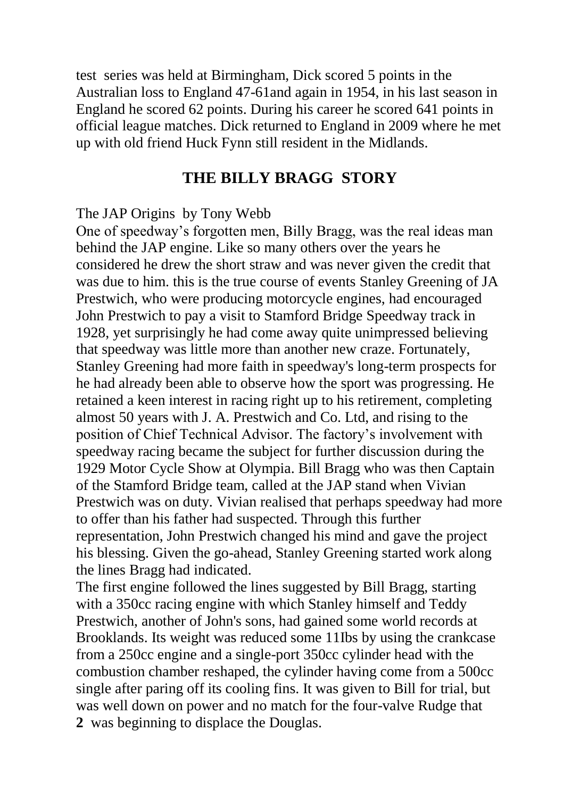test series was held at Birmingham, Dick scored 5 points in the Australian loss to England 47-61and again in 1954, in his last season in England he scored 62 points. During his career he scored 641 points in official league matches. Dick returned to England in 2009 where he met up with old friend Huck Fynn still resident in the Midlands.

#### **THE BILLY BRAGG STORY**

#### The JAP Origins by Tony Webb

One of speedway's forgotten men, Billy Bragg, was the real ideas man behind the JAP engine. Like so many others over the years he considered he drew the short straw and was never given the credit that was due to him. this is the true course of events Stanley Greening of JA Prestwich, who were producing motorcycle engines, had encouraged John Prestwich to pay a visit to Stamford Bridge Speedway track in 1928, yet surprisingly he had come away quite unimpressed believing that speedway was little more than another new craze. Fortunately, Stanley Greening had more faith in speedway's long-term prospects for he had already been able to observe how the sport was progressing. He retained a keen interest in racing right up to his retirement, completing almost 50 years with J. A. Prestwich and Co. Ltd, and rising to the position of Chief Technical Advisor. The factory's involvement with speedway racing became the subject for further discussion during the 1929 Motor Cycle Show at Olympia. Bill Bragg who was then Captain of the Stamford Bridge team, called at the JAP stand when Vivian Prestwich was on duty. Vivian realised that perhaps speedway had more to offer than his father had suspected. Through this further representation, John Prestwich changed his mind and gave the project his blessing. Given the go-ahead, Stanley Greening started work along the lines Bragg had indicated.

The first engine followed the lines suggested by Bill Bragg, starting with a 350cc racing engine with which Stanley himself and Teddy Prestwich, another of John's sons, had gained some world records at Brooklands. Its weight was reduced some 11Ibs by using the crankcase from a 250cc engine and a single-port 350cc cylinder head with the combustion chamber reshaped, the cylinder having come from a 500cc single after paring off its cooling fins. It was given to Bill for trial, but was well down on power and no match for the four-valve Rudge that **2** was beginning to displace the Douglas.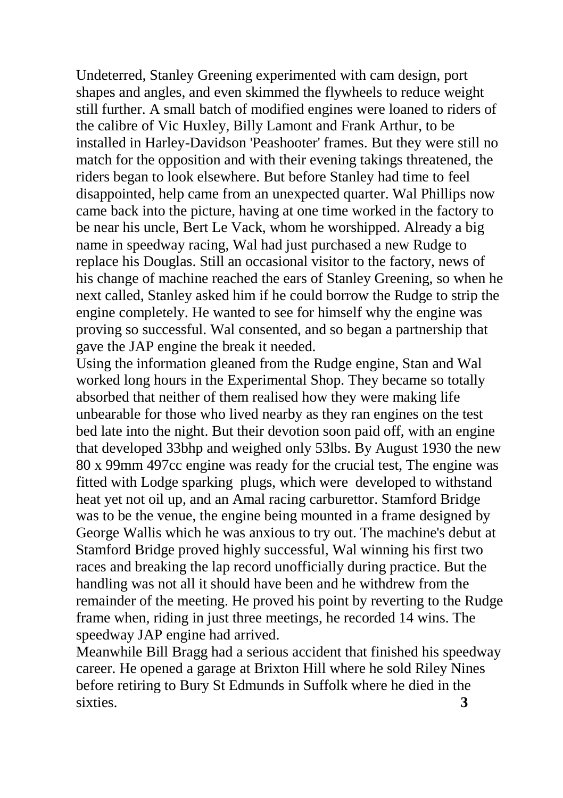Undeterred, Stanley Greening experimented with cam design, port shapes and angles, and even skimmed the flywheels to reduce weight still further. A small batch of modified engines were loaned to riders of the calibre of Vic Huxley, Billy Lamont and Frank Arthur, to be installed in Harley-Davidson 'Peashooter' frames. But they were still no match for the opposition and with their evening takings threatened, the riders began to look elsewhere. But before Stanley had time to feel disappointed, help came from an unexpected quarter. Wal Phillips now came back into the picture, having at one time worked in the factory to be near his uncle, Bert Le Vack, whom he worshipped. Already a big name in speedway racing, Wal had just purchased a new Rudge to replace his Douglas. Still an occasional visitor to the factory, news of his change of machine reached the ears of Stanley Greening, so when he next called, Stanley asked him if he could borrow the Rudge to strip the engine completely. He wanted to see for himself why the engine was proving so successful. Wal consented, and so began a partnership that gave the JAP engine the break it needed.

Using the information gleaned from the Rudge engine, Stan and Wal worked long hours in the Experimental Shop. They became so totally absorbed that neither of them realised how they were making life unbearable for those who lived nearby as they ran engines on the test bed late into the night. But their devotion soon paid off, with an engine that developed 33bhp and weighed only 53lbs. By August 1930 the new 80 x 99mm 497cc engine was ready for the crucial test, The engine was fitted with Lodge sparking plugs, which were developed to withstand heat yet not oil up, and an Amal racing carburettor. Stamford Bridge was to be the venue, the engine being mounted in a frame designed by George Wallis which he was anxious to try out. The machine's debut at Stamford Bridge proved highly successful, Wal winning his first two races and breaking the lap record unofficially during practice. But the handling was not all it should have been and he withdrew from the remainder of the meeting. He proved his point by reverting to the Rudge frame when, riding in just three meetings, he recorded 14 wins. The speedway JAP engine had arrived.

Meanwhile Bill Bragg had a serious accident that finished his speedway career. He opened a garage at Brixton Hill where he sold Riley Nines before retiring to Bury St Edmunds in Suffolk where he died in the sixties. **3**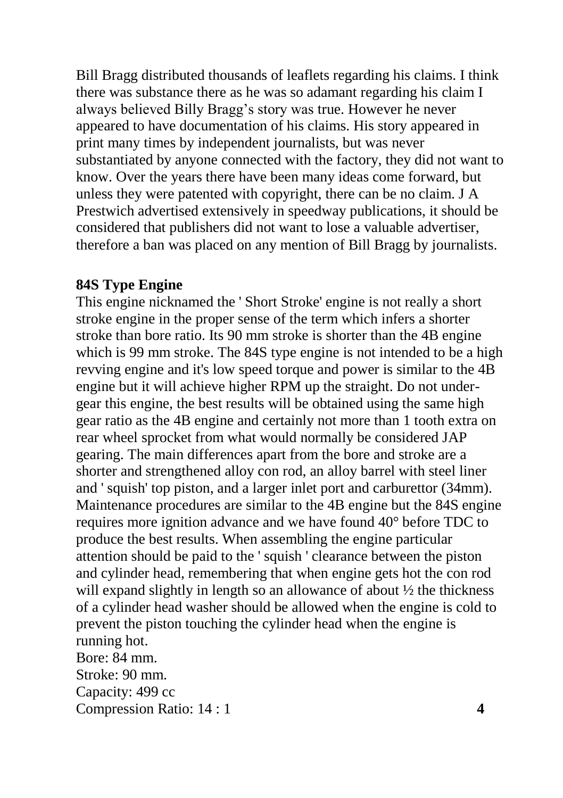Bill Bragg distributed thousands of leaflets regarding his claims. I think there was substance there as he was so adamant regarding his claim I always believed Billy Bragg's story was true. However he never appeared to have documentation of his claims. His story appeared in print many times by independent journalists, but was never substantiated by anyone connected with the factory, they did not want to know. Over the years there have been many ideas come forward, but unless they were patented with copyright, there can be no claim. J A Prestwich advertised extensively in speedway publications, it should be considered that publishers did not want to lose a valuable advertiser, therefore a ban was placed on any mention of Bill Bragg by journalists.

#### **84S Type Engine**

This engine nicknamed the ' Short Stroke' engine is not really a short stroke engine in the proper sense of the term which infers a shorter stroke than bore ratio. Its 90 mm stroke is shorter than the 4B engine which is 99 mm stroke. The 84S type engine is not intended to be a high revving engine and it's low speed torque and power is similar to the 4B engine but it will achieve higher RPM up the straight. Do not undergear this engine, the best results will be obtained using the same high gear ratio as the 4B engine and certainly not more than 1 tooth extra on rear wheel sprocket from what would normally be considered JAP gearing. The main differences apart from the bore and stroke are a shorter and strengthened alloy con rod, an alloy barrel with steel liner and ' squish' top piston, and a larger inlet port and carburettor (34mm). Maintenance procedures are similar to the 4B engine but the 84S engine requires more ignition advance and we have found 40° before TDC to produce the best results. When assembling the engine particular attention should be paid to the ' squish ' clearance between the piston and cylinder head, remembering that when engine gets hot the con rod will expand slightly in length so an allowance of about  $\frac{1}{2}$  the thickness of a cylinder head washer should be allowed when the engine is cold to prevent the piston touching the cylinder head when the engine is running hot. Bore: 84 mm. Stroke: 90 mm. Capacity: 499 cc

Compression Ratio: 14 : 1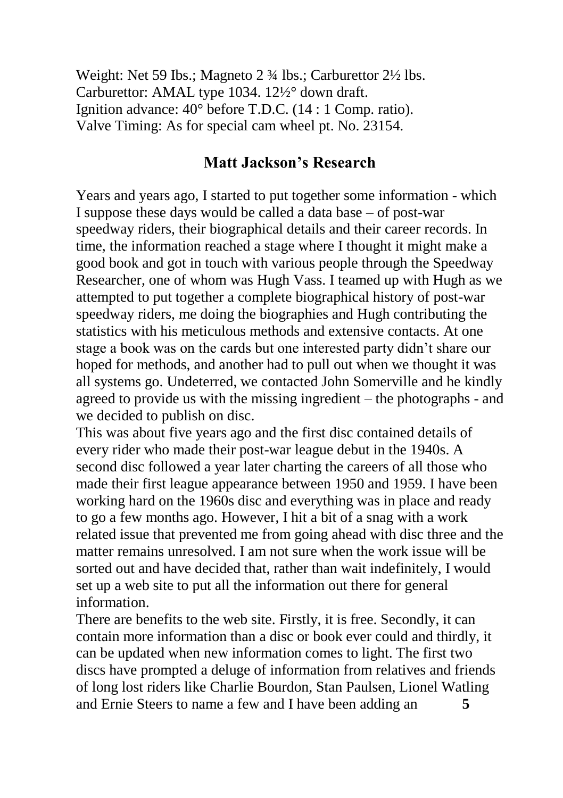Weight: Net 59 Ibs.; Magneto 2 ¾ lbs.; Carburettor 2½ lbs. Carburettor: AMAL type 1034. 12½° down draft. Ignition advance: 40° before T.D.C. (14 : 1 Comp. ratio). Valve Timing: As for special cam wheel pt. No. 23154.

### **Matt Jackson's Research**

Years and years ago, I started to put together some information - which I suppose these days would be called a data base – of post-war speedway riders, their biographical details and their career records. In time, the information reached a stage where I thought it might make a good book and got in touch with various people through the Speedway Researcher, one of whom was Hugh Vass. I teamed up with Hugh as we attempted to put together a complete biographical history of post-war speedway riders, me doing the biographies and Hugh contributing the statistics with his meticulous methods and extensive contacts. At one stage a book was on the cards but one interested party didn't share our hoped for methods, and another had to pull out when we thought it was all systems go. Undeterred, we contacted John Somerville and he kindly agreed to provide us with the missing ingredient – the photographs - and we decided to publish on disc.

This was about five years ago and the first disc contained details of every rider who made their post-war league debut in the 1940s. A second disc followed a year later charting the careers of all those who made their first league appearance between 1950 and 1959. I have been working hard on the 1960s disc and everything was in place and ready to go a few months ago. However, I hit a bit of a snag with a work related issue that prevented me from going ahead with disc three and the matter remains unresolved. I am not sure when the work issue will be sorted out and have decided that, rather than wait indefinitely, I would set up a web site to put all the information out there for general information.

There are benefits to the web site. Firstly, it is free. Secondly, it can contain more information than a disc or book ever could and thirdly, it can be updated when new information comes to light. The first two discs have prompted a deluge of information from relatives and friends of long lost riders like Charlie Bourdon, Stan Paulsen, Lionel Watling and Ernie Steers to name a few and I have been adding an **5**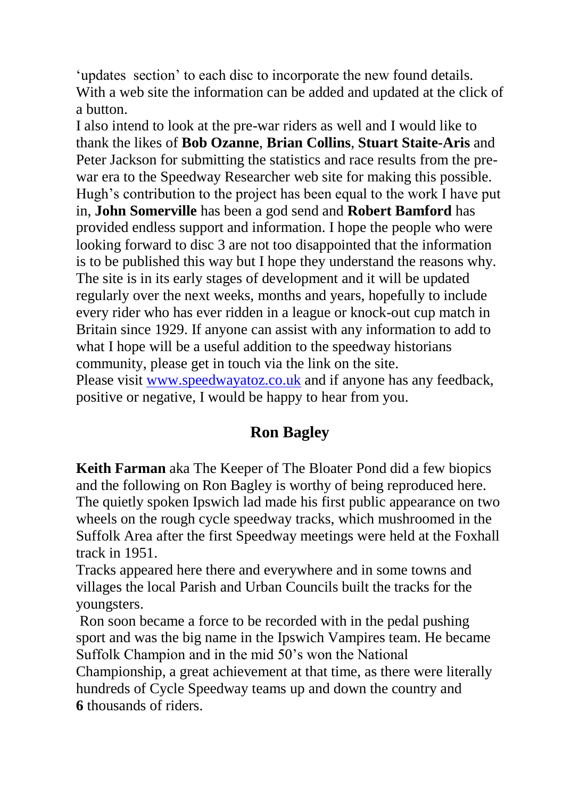'updates section' to each disc to incorporate the new found details. With a web site the information can be added and updated at the click of a button.

I also intend to look at the pre-war riders as well and I would like to thank the likes of **Bob Ozanne**, **Brian Collins**, **Stuart Staite-Aris** and Peter Jackson for submitting the statistics and race results from the prewar era to the Speedway Researcher web site for making this possible. Hugh's contribution to the project has been equal to the work I have put in, **John Somerville** has been a god send and **Robert Bamford** has provided endless support and information. I hope the people who were looking forward to disc 3 are not too disappointed that the information is to be published this way but I hope they understand the reasons why. The site is in its early stages of development and it will be updated regularly over the next weeks, months and years, hopefully to include every rider who has ever ridden in a league or knock-out cup match in Britain since 1929. If anyone can assist with any information to add to what I hope will be a useful addition to the speedway historians community, please get in touch via the link on the site. Please visit [www.speedwayatoz.co.uk](http://www.speedwayatoz.co.uk/) and if anyone has any feedback, positive or negative, I would be happy to hear from you.

# **Ron Bagley**

**Keith Farman** aka The Keeper of The Bloater Pond did a few biopics and the following on Ron Bagley is worthy of being reproduced here. The quietly spoken Ipswich lad made his first public appearance on two wheels on the rough cycle speedway tracks, which mushroomed in the Suffolk Area after the first Speedway meetings were held at the Foxhall track in 1951.

Tracks appeared here there and everywhere and in some towns and villages the local Parish and Urban Councils built the tracks for the youngsters.

Ron soon became a force to be recorded with in the pedal pushing sport and was the big name in the Ipswich Vampires team. He became Suffolk Champion and in the mid 50's won the National Championship, a great achievement at that time, as there were literally hundreds of Cycle Speedway teams up and down the country and **6** thousands of riders.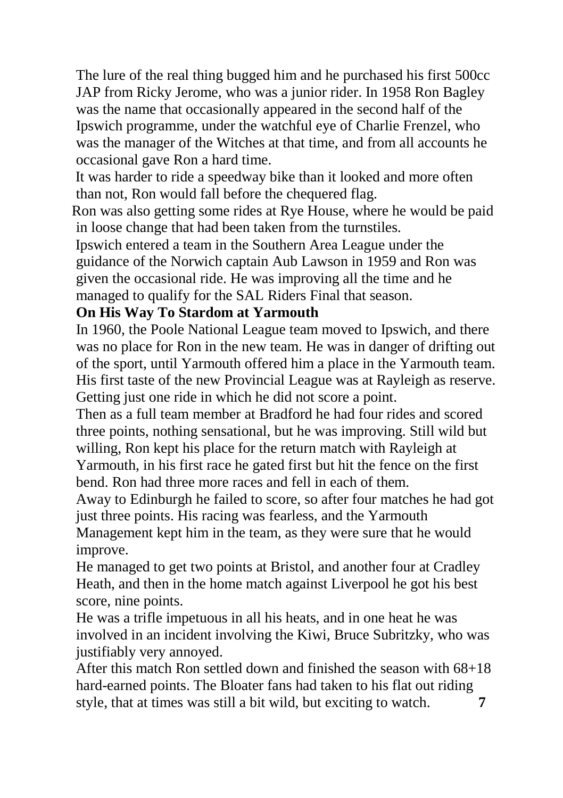The lure of the real thing bugged him and he purchased his first 500cc JAP from Ricky Jerome, who was a junior rider. In 1958 Ron Bagley was the name that occasionally appeared in the second half of the Ipswich programme, under the watchful eye of Charlie Frenzel, who was the manager of the Witches at that time, and from all accounts he occasional gave Ron a hard time.

 It was harder to ride a speedway bike than it looked and more often than not, Ron would fall before the chequered flag.

 Ron was also getting some rides at Rye House, where he would be paid in loose change that had been taken from the turnstiles.

 Ipswich entered a team in the Southern Area League under the guidance of the Norwich captain Aub Lawson in 1959 and Ron was given the occasional ride. He was improving all the time and he managed to qualify for the SAL Riders Final that season.

#### **On His Way To Stardom at Yarmouth**

In 1960, the Poole National League team moved to Ipswich, and there was no place for Ron in the new team. He was in danger of drifting out of the sport, until Yarmouth offered him a place in the Yarmouth team. His first taste of the new Provincial League was at Rayleigh as reserve. Getting just one ride in which he did not score a point.

Then as a full team member at Bradford he had four rides and scored three points, nothing sensational, but he was improving. Still wild but willing, Ron kept his place for the return match with Rayleigh at Yarmouth, in his first race he gated first but hit the fence on the first bend. Ron had three more races and fell in each of them.

Away to Edinburgh he failed to score, so after four matches he had got just three points. His racing was fearless, and the Yarmouth Management kept him in the team, as they were sure that he would improve.

He managed to get two points at Bristol, and another four at Cradley Heath, and then in the home match against Liverpool he got his best score, nine points.

He was a trifle impetuous in all his heats, and in one heat he was involved in an incident involving the Kiwi, Bruce Subritzky, who was justifiably very annoyed.

After this match Ron settled down and finished the season with 68+18 hard-earned points. The Bloater fans had taken to his flat out riding style, that at times was still a bit wild, but exciting to watch. **7**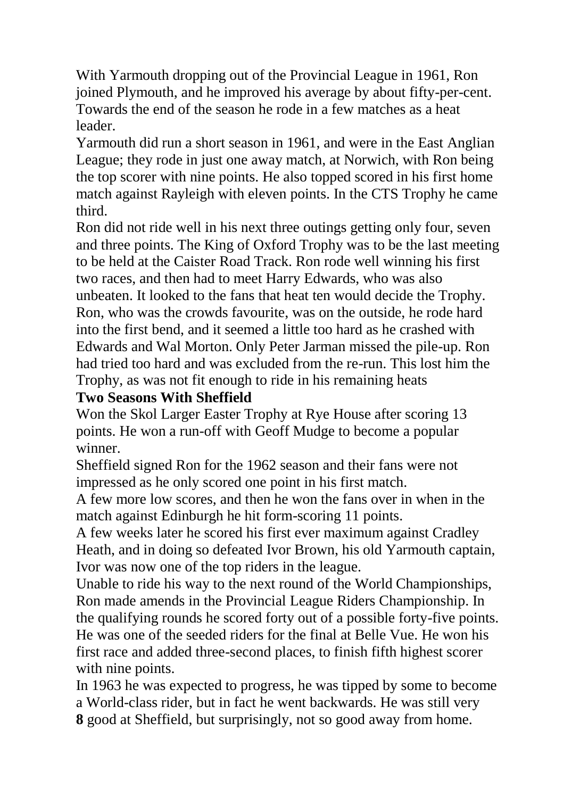With Yarmouth dropping out of the Provincial League in 1961, Ron joined Plymouth, and he improved his average by about fifty-per-cent. Towards the end of the season he rode in a few matches as a heat leader.

Yarmouth did run a short season in 1961, and were in the East Anglian League; they rode in just one away match, at Norwich, with Ron being the top scorer with nine points. He also topped scored in his first home match against Rayleigh with eleven points. In the CTS Trophy he came third.

Ron did not ride well in his next three outings getting only four, seven and three points. The King of Oxford Trophy was to be the last meeting to be held at the Caister Road Track. Ron rode well winning his first two races, and then had to meet Harry Edwards, who was also unbeaten. It looked to the fans that heat ten would decide the Trophy. Ron, who was the crowds favourite, was on the outside, he rode hard into the first bend, and it seemed a little too hard as he crashed with Edwards and Wal Morton. Only Peter Jarman missed the pile-up. Ron had tried too hard and was excluded from the re-run. This lost him the Trophy, as was not fit enough to ride in his remaining heats

### **Two Seasons With Sheffield**

Won the Skol Larger Easter Trophy at Rye House after scoring 13 points. He won a run-off with Geoff Mudge to become a popular winner.

Sheffield signed Ron for the 1962 season and their fans were not impressed as he only scored one point in his first match.

A few more low scores, and then he won the fans over in when in the match against Edinburgh he hit form-scoring 11 points.

A few weeks later he scored his first ever maximum against Cradley Heath, and in doing so defeated Ivor Brown, his old Yarmouth captain, Ivor was now one of the top riders in the league.

Unable to ride his way to the next round of the World Championships, Ron made amends in the Provincial League Riders Championship. In the qualifying rounds he scored forty out of a possible forty-five points. He was one of the seeded riders for the final at Belle Vue. He won his first race and added three-second places, to finish fifth highest scorer with nine points.

In 1963 he was expected to progress, he was tipped by some to become a World-class rider, but in fact he went backwards. He was still very **8** good at Sheffield, but surprisingly, not so good away from home.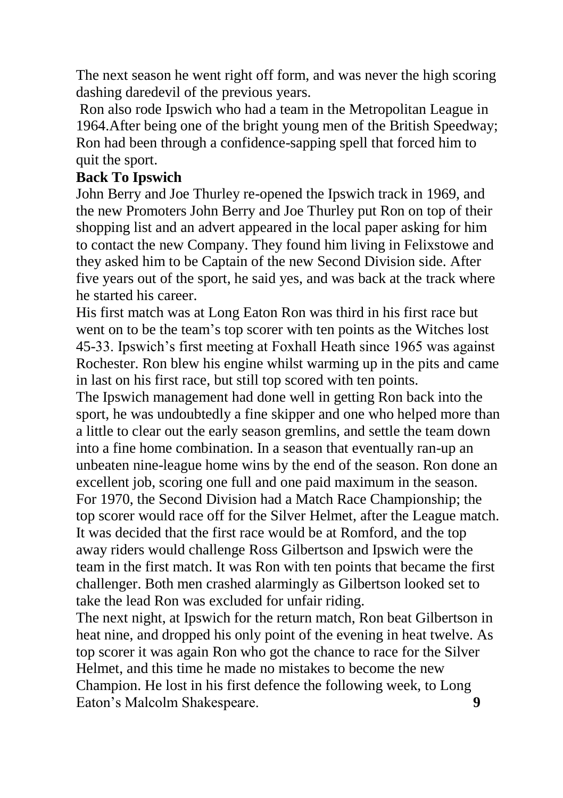The next season he went right off form, and was never the high scoring dashing daredevil of the previous years.

Ron also rode Ipswich who had a team in the Metropolitan League in 1964.After being one of the bright young men of the British Speedway; Ron had been through a confidence-sapping spell that forced him to quit the sport.

### **Back To Ipswich**

John Berry and Joe Thurley re-opened the Ipswich track in 1969, and the new Promoters John Berry and Joe Thurley put Ron on top of their shopping list and an advert appeared in the local paper asking for him to contact the new Company. They found him living in Felixstowe and they asked him to be Captain of the new Second Division side. After five years out of the sport, he said yes, and was back at the track where he started his career.

His first match was at Long Eaton Ron was third in his first race but went on to be the team's top scorer with ten points as the Witches lost 45-33. Ipswich's first meeting at Foxhall Heath since 1965 was against Rochester. Ron blew his engine whilst warming up in the pits and came in last on his first race, but still top scored with ten points.

The Ipswich management had done well in getting Ron back into the sport, he was undoubtedly a fine skipper and one who helped more than a little to clear out the early season gremlins, and settle the team down into a fine home combination. In a season that eventually ran-up an unbeaten nine-league home wins by the end of the season. Ron done an excellent job, scoring one full and one paid maximum in the season. For 1970, the Second Division had a Match Race Championship; the top scorer would race off for the Silver Helmet, after the League match. It was decided that the first race would be at Romford, and the top away riders would challenge Ross Gilbertson and Ipswich were the team in the first match. It was Ron with ten points that became the first challenger. Both men crashed alarmingly as Gilbertson looked set to take the lead Ron was excluded for unfair riding.

The next night, at Ipswich for the return match, Ron beat Gilbertson in heat nine, and dropped his only point of the evening in heat twelve. As top scorer it was again Ron who got the chance to race for the Silver Helmet, and this time he made no mistakes to become the new Champion. He lost in his first defence the following week, to Long Eaton's Malcolm Shakespeare. **9**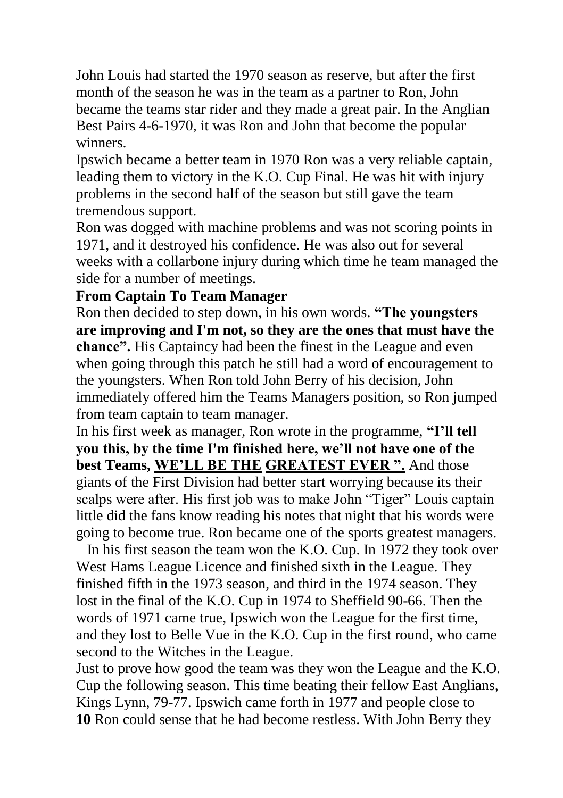John Louis had started the 1970 season as reserve, but after the first month of the season he was in the team as a partner to Ron, John became the teams star rider and they made a great pair. In the Anglian Best Pairs 4-6-1970, it was Ron and John that become the popular winners.

Ipswich became a better team in 1970 Ron was a very reliable captain, leading them to victory in the K.O. Cup Final. He was hit with injury problems in the second half of the season but still gave the team tremendous support.

Ron was dogged with machine problems and was not scoring points in 1971, and it destroyed his confidence. He was also out for several weeks with a collarbone injury during which time he team managed the side for a number of meetings.

### **From Captain To Team Manager**

Ron then decided to step down, in his own words. **"The youngsters are improving and I'm not, so they are the ones that must have the chance".** His Captaincy had been the finest in the League and even when going through this patch he still had a word of encouragement to the youngsters. When Ron told John Berry of his decision, John immediately offered him the Teams Managers position, so Ron jumped from team captain to team manager.

In his first week as manager, Ron wrote in the programme, **"I'll tell you this, by the time I'm finished here, we'll not have one of the best Teams, WE'LL BE THE GREATEST EVER ".** And those giants of the First Division had better start worrying because its their scalps were after. His first job was to make John "Tiger" Louis captain little did the fans know reading his notes that night that his words were going to become true. Ron became one of the sports greatest managers.

 In his first season the team won the K.O. Cup. In 1972 they took over West Hams League Licence and finished sixth in the League. They finished fifth in the 1973 season, and third in the 1974 season. They lost in the final of the K.O. Cup in 1974 to Sheffield 90-66. Then the words of 1971 came true, Ipswich won the League for the first time, and they lost to Belle Vue in the K.O. Cup in the first round, who came second to the Witches in the League.

Just to prove how good the team was they won the League and the K.O. Cup the following season. This time beating their fellow East Anglians, Kings Lynn, 79-77. Ipswich came forth in 1977 and people close to **10** Ron could sense that he had become restless. With John Berry they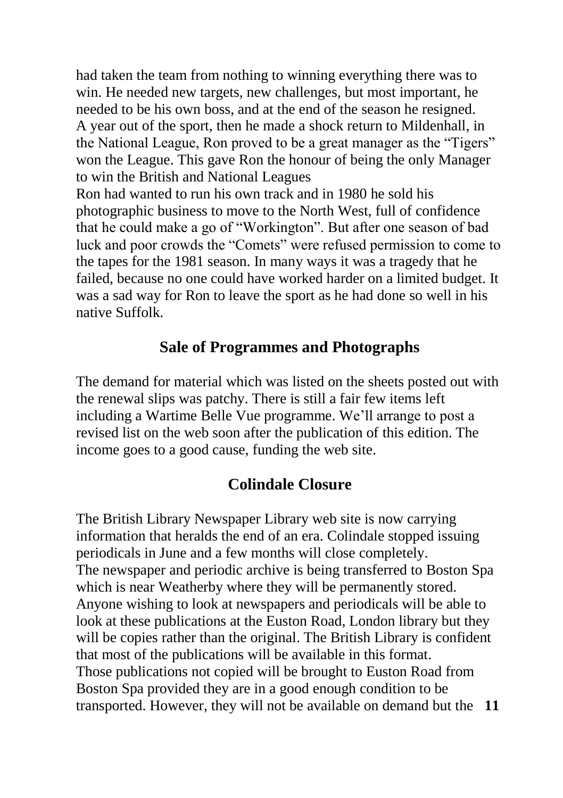had taken the team from nothing to winning everything there was to win. He needed new targets, new challenges, but most important, he needed to be his own boss, and at the end of the season he resigned. A year out of the sport, then he made a shock return to Mildenhall, in the National League, Ron proved to be a great manager as the "Tigers" won the League. This gave Ron the honour of being the only Manager to win the British and National Leagues

Ron had wanted to run his own track and in 1980 he sold his photographic business to move to the North West, full of confidence that he could make a go of "Workington". But after one season of bad luck and poor crowds the "Comets" were refused permission to come to the tapes for the 1981 season. In many ways it was a tragedy that he failed, because no one could have worked harder on a limited budget. It was a sad way for Ron to leave the sport as he had done so well in his native Suffolk.

### **Sale of Programmes and Photographs**

The demand for material which was listed on the sheets posted out with the renewal slips was patchy. There is still a fair few items left including a Wartime Belle Vue programme. We'll arrange to post a revised list on the web soon after the publication of this edition. The income goes to a good cause, funding the web site.

#### **Colindale Closure**

The British Library Newspaper Library web site is now carrying information that heralds the end of an era. Colindale stopped issuing periodicals in June and a few months will close completely. The newspaper and periodic archive is being transferred to Boston Spa which is near Weatherby where they will be permanently stored. Anyone wishing to look at newspapers and periodicals will be able to look at these publications at the Euston Road, London library but they will be copies rather than the original. The British Library is confident that most of the publications will be available in this format. Those publications not copied will be brought to Euston Road from Boston Spa provided they are in a good enough condition to be transported. However, they will not be available on demand but the **11**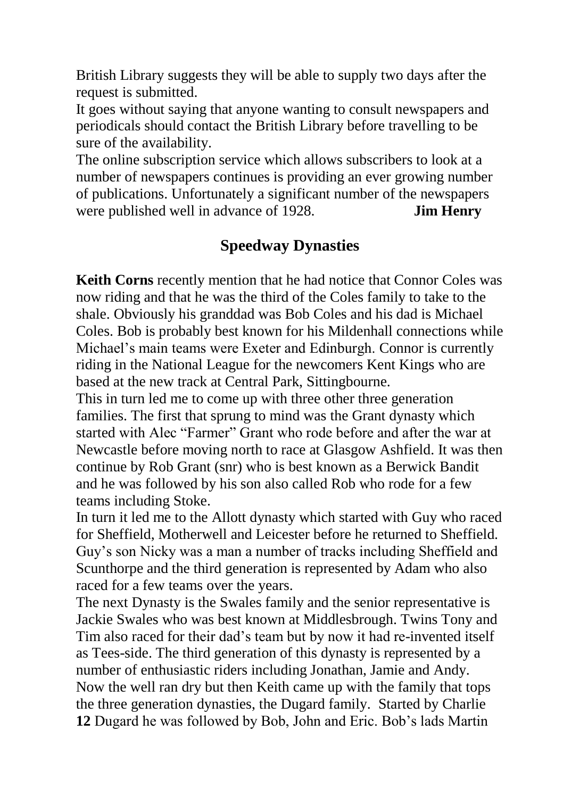British Library suggests they will be able to supply two days after the request is submitted.

It goes without saying that anyone wanting to consult newspapers and periodicals should contact the British Library before travelling to be sure of the availability.

The online subscription service which allows subscribers to look at a number of newspapers continues is providing an ever growing number of publications. Unfortunately a significant number of the newspapers were published well in advance of 1928. **Jim Henry**

# **Speedway Dynasties**

**Keith Corns** recently mention that he had notice that Connor Coles was now riding and that he was the third of the Coles family to take to the shale. Obviously his granddad was Bob Coles and his dad is Michael Coles. Bob is probably best known for his Mildenhall connections while Michael's main teams were Exeter and Edinburgh. Connor is currently riding in the National League for the newcomers Kent Kings who are based at the new track at Central Park, Sittingbourne.

This in turn led me to come up with three other three generation families. The first that sprung to mind was the Grant dynasty which started with Alec "Farmer" Grant who rode before and after the war at Newcastle before moving north to race at Glasgow Ashfield. It was then continue by Rob Grant (snr) who is best known as a Berwick Bandit and he was followed by his son also called Rob who rode for a few teams including Stoke.

In turn it led me to the Allott dynasty which started with Guy who raced for Sheffield, Motherwell and Leicester before he returned to Sheffield. Guy's son Nicky was a man a number of tracks including Sheffield and Scunthorpe and the third generation is represented by Adam who also raced for a few teams over the years.

The next Dynasty is the Swales family and the senior representative is Jackie Swales who was best known at Middlesbrough. Twins Tony and Tim also raced for their dad's team but by now it had re-invented itself as Tees-side. The third generation of this dynasty is represented by a number of enthusiastic riders including Jonathan, Jamie and Andy. Now the well ran dry but then Keith came up with the family that tops the three generation dynasties, the Dugard family. Started by Charlie **12** Dugard he was followed by Bob, John and Eric. Bob's lads Martin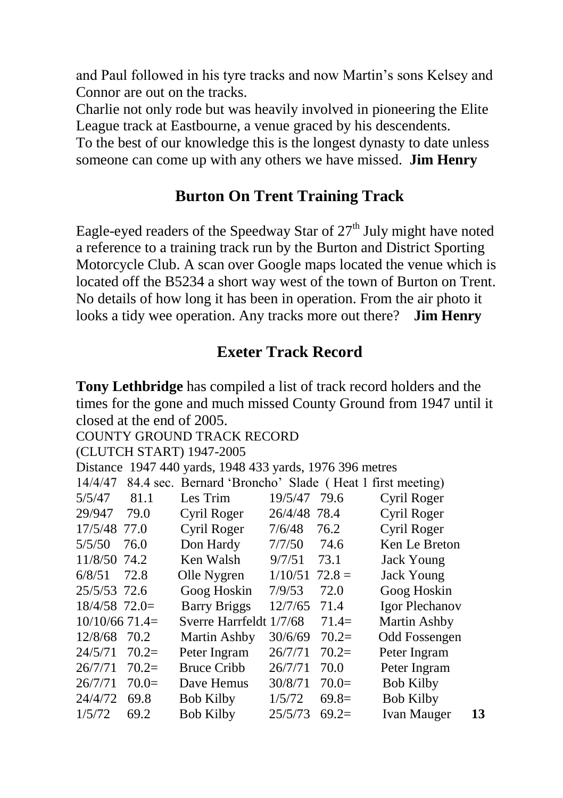and Paul followed in his tyre tracks and now Martin's sons Kelsey and Connor are out on the tracks.

Charlie not only rode but was heavily involved in pioneering the Elite League track at Eastbourne, a venue graced by his descendents.

To the best of our knowledge this is the longest dynasty to date unless someone can come up with any others we have missed. **Jim Henry**

## **Burton On Trent Training Track**

Eagle-eved readers of the Speedway Star of  $27<sup>th</sup>$  July might have noted a reference to a training track run by the Burton and District Sporting Motorcycle Club. A scan over Google maps located the venue which is located off the B5234 a short way west of the town of Burton on Trent. No details of how long it has been in operation. From the air photo it looks a tidy wee operation. Any tracks more out there? **Jim Henry**

# **Exeter Track Record**

**Tony Lethbridge** has compiled a list of track record holders and the times for the gone and much missed County Ground from 1947 until it closed at the end of 2005.

COUNTY GROUND TRACK RECORD

(CLUTCH START) 1947-2005

Distance 1947 440 yards, 1948 433 yards, 1976 396 metres

| 14/4/47          |         | 84.4 sec. Bernard 'Broncho' Slade (Heat 1 first meeting) |              |          |                  |    |
|------------------|---------|----------------------------------------------------------|--------------|----------|------------------|----|
| 5/5/47           | 81.1    | Les Trim                                                 | 19/5/47      | 79.6     | Cyril Roger      |    |
| 29/947           | 79.0    | Cyril Roger                                              | 26/4/48 78.4 |          | Cyril Roger      |    |
| 17/5/48 77.0     |         | Cyril Roger                                              | 7/6/48       | 76.2     | Cyril Roger      |    |
| 5/5/50           | 76.0    | Don Hardy                                                | 7/7/50       | 74.6     | Ken Le Breton    |    |
| 11/8/50          | 74.2    | Ken Walsh                                                | 9/7/51       | 73.1     | Jack Young       |    |
| 6/8/51           | 72.8    | Olle Nygren                                              | 1/10/51      | $72.8 =$ | Jack Young       |    |
| 25/5/53 72.6     |         | Goog Hoskin                                              | 7/9/53       | 72.0     | Goog Hoskin      |    |
| $18/4/58$ 72.0=  |         | <b>Barry Briggs</b>                                      | 12/7/65      | 71.4     | Igor Plechanov   |    |
| $10/10/66$ 71.4= |         | Sverre Harrfeldt 1/7/68                                  |              | $71.4=$  | Martin Ashby     |    |
| 12/8/68          | 70.2    | Martin Ashby                                             | 30/6/69      | $70.2=$  | Odd Fossengen    |    |
| 24/5/71          | $70.2=$ | Peter Ingram                                             | 26/7/71      | $70.2=$  | Peter Ingram     |    |
| 26/7/71          | $70.2=$ | <b>Bruce Cribb</b>                                       | 26/7/71      | 70.0     | Peter Ingram     |    |
| 26/7/71          | $70.0=$ | Dave Hemus                                               | 30/8/71      | $70.0=$  | <b>Bob Kilby</b> |    |
| 24/4/72          | 69.8    | <b>Bob Kilby</b>                                         | 1/5/72       | $69.8=$  | <b>Bob Kilby</b> |    |
| 1/5/72           | 69.2    | <b>Bob Kilby</b>                                         | 25/5/73      | $69.2=$  | Ivan Mauger      | 13 |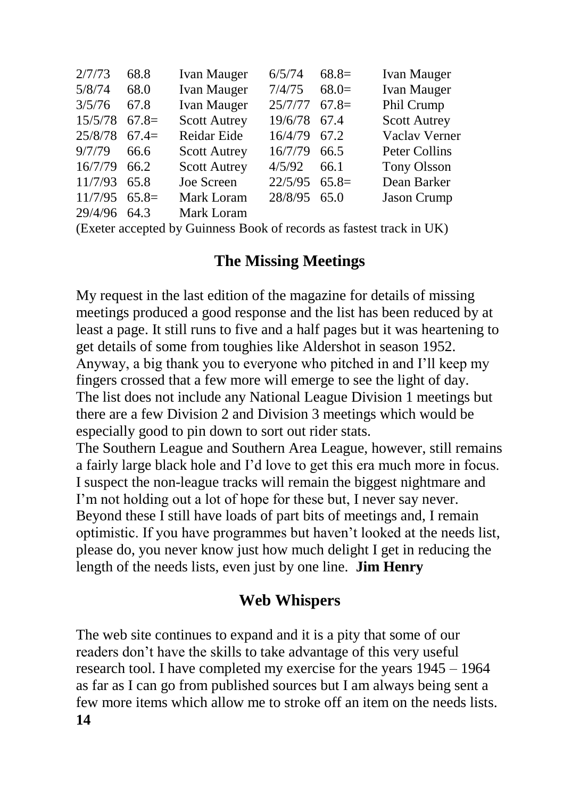| 2/7/73  | 68.8    | <b>Ivan Mauger</b>  | 6/5/74  | $68.8=$ | Ivan Mauger         |
|---------|---------|---------------------|---------|---------|---------------------|
| 5/8/74  | 68.0    | Ivan Mauger         | 7/4/75  | $68.0=$ | Ivan Mauger         |
| 3/5/76  | 67.8    | <b>Ivan Mauger</b>  | 25/7/77 | $67.8=$ | Phil Crump          |
| 15/5/78 | $67.8=$ | <b>Scott Autrey</b> | 19/6/78 | 67.4    | <b>Scott Autrey</b> |
| 25/8/78 | $67.4=$ | Reidar Eide         | 16/4/79 | 67.2    | Vaclay Verner       |
| 9/7/79  | 66.6    | <b>Scott Autrey</b> | 16/7/79 | 66.5    | Peter Collins       |
| 16/7/79 | 66.2    | <b>Scott Autrey</b> | 4/5/92  | 66.1    | <b>Tony Olsson</b>  |
| 11/7/93 | 65.8    | Joe Screen          | 22/5/95 | $65.8=$ | Dean Barker         |
| 11/7/95 | $65.8=$ | Mark Loram          | 28/8/95 | 65.0    | Jason Crump         |
| 29/4/96 | 64.3    | Mark Loram          |         |         |                     |

(Exeter accepted by Guinness Book of records as fastest track in UK)

# **The Missing Meetings**

My request in the last edition of the magazine for details of missing meetings produced a good response and the list has been reduced by at least a page. It still runs to five and a half pages but it was heartening to get details of some from toughies like Aldershot in season 1952. Anyway, a big thank you to everyone who pitched in and I'll keep my fingers crossed that a few more will emerge to see the light of day. The list does not include any National League Division 1 meetings but there are a few Division 2 and Division 3 meetings which would be especially good to pin down to sort out rider stats.

The Southern League and Southern Area League, however, still remains a fairly large black hole and I'd love to get this era much more in focus. I suspect the non-league tracks will remain the biggest nightmare and I'm not holding out a lot of hope for these but. I never say never. Beyond these I still have loads of part bits of meetings and, I remain optimistic. If you have programmes but haven't looked at the needs list, please do, you never know just how much delight I get in reducing the length of the needs lists, even just by one line. **Jim Henry**

# **Web Whispers**

The web site continues to expand and it is a pity that some of our readers don't have the skills to take advantage of this very useful research tool. I have completed my exercise for the years 1945 – 1964 as far as I can go from published sources but I am always being sent a few more items which allow me to stroke off an item on the needs lists. **14**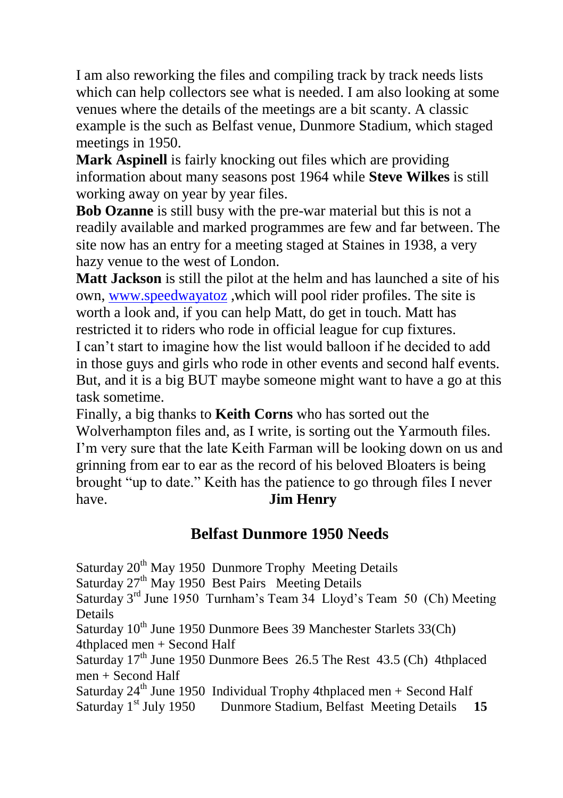I am also reworking the files and compiling track by track needs lists which can help collectors see what is needed. I am also looking at some venues where the details of the meetings are a bit scanty. A classic example is the such as Belfast venue, Dunmore Stadium, which staged meetings in 1950.

**Mark Aspinell** is fairly knocking out files which are providing information about many seasons post 1964 while **Steve Wilkes** is still working away on year by year files.

**Bob Ozanne** is still busy with the pre-war material but this is not a readily available and marked programmes are few and far between. The site now has an entry for a meeting staged at Staines in 1938, a very hazy venue to the west of London.

**Matt Jackson** is still the pilot at the helm and has launched a site of his own, [www.speedwayatoz](http://www.speedwayatoz/) ,which will pool rider profiles. The site is worth a look and, if you can help Matt, do get in touch. Matt has restricted it to riders who rode in official league for cup fixtures. I can't start to imagine how the list would balloon if he decided to add in those guys and girls who rode in other events and second half events. But, and it is a big BUT maybe someone might want to have a go at this task sometime.

Finally, a big thanks to **Keith Corns** who has sorted out the

Wolverhampton files and, as I write, is sorting out the Yarmouth files. I'm very sure that the late Keith Farman will be looking down on us and grinning from ear to ear as the record of his beloved Bloaters is being brought "up to date." Keith has the patience to go through files I never have. **Jim Henry**

## **Belfast Dunmore 1950 Needs**

Saturday 20<sup>th</sup> May 1950 Dunmore Trophy Meeting Details

Saturday  $27<sup>th</sup>$  May 1950 Best Pairs Meeting Details

Saturday 3rd June 1950 Turnham's Team 34 Lloyd's Team 50 (Ch) Meeting Details

Saturday 10<sup>th</sup> June 1950 Dunmore Bees 39 Manchester Starlets 33(Ch) 4thplaced men + Second Half

Saturday  $17<sup>th</sup>$  June 1950 Dunmore Bees 26.5 The Rest 43.5 (Ch) 4thplaced men + Second Half

Saturday  $24<sup>th</sup>$  June 1950 Individual Trophy 4thplaced men + Second Half Saturday 1<sup>st</sup> July 1950 Dunmore Stadium, Belfast Meeting Details 15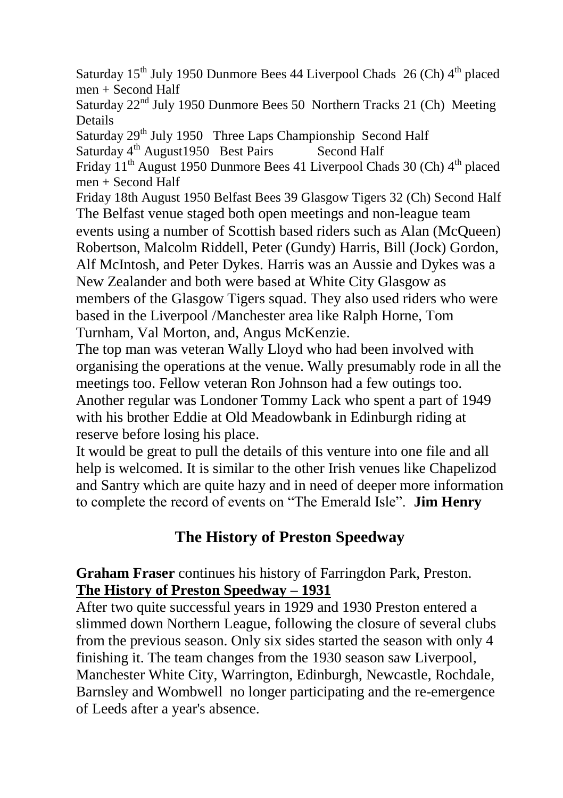Saturday  $15<sup>th</sup>$  July 1950 Dunmore Bees 44 Liverpool Chads 26 (Ch)  $4<sup>th</sup>$  placed men + Second Half

Saturday 22<sup>nd</sup> July 1950 Dunmore Bees 50 Northern Tracks 21 (Ch) Meeting Details

Saturday 29<sup>th</sup> July 1950 Three Laps Championship Second Half Saturday 4<sup>th</sup> August1950 Best Pairs Second Half

Friday  $11<sup>th</sup>$  August 1950 Dunmore Bees 41 Liverpool Chads 30 (Ch)  $4<sup>th</sup>$  placed men + Second Half

Friday 18th August 1950 Belfast Bees 39 Glasgow Tigers 32 (Ch) Second Half The Belfast venue staged both open meetings and non-league team events using a number of Scottish based riders such as Alan (McQueen) Robertson, Malcolm Riddell, Peter (Gundy) Harris, Bill (Jock) Gordon, Alf McIntosh, and Peter Dykes. Harris was an Aussie and Dykes was a New Zealander and both were based at White City Glasgow as members of the Glasgow Tigers squad. They also used riders who were based in the Liverpool /Manchester area like Ralph Horne, Tom Turnham, Val Morton, and, Angus McKenzie.

The top man was veteran Wally Lloyd who had been involved with organising the operations at the venue. Wally presumably rode in all the meetings too. Fellow veteran Ron Johnson had a few outings too. Another regular was Londoner Tommy Lack who spent a part of 1949 with his brother Eddie at Old Meadowbank in Edinburgh riding at reserve before losing his place.

It would be great to pull the details of this venture into one file and all help is welcomed. It is similar to the other Irish venues like Chapelizod and Santry which are quite hazy and in need of deeper more information to complete the record of events on "The Emerald Isle". **Jim Henry**

# **The History of Preston Speedway**

**Graham Fraser** continues his history of Farringdon Park, Preston. **The History of Preston Speedway – 1931**

After two quite successful years in 1929 and 1930 Preston entered a slimmed down Northern League, following the closure of several clubs from the previous season. Only six sides started the season with only 4 finishing it. The team changes from the 1930 season saw [Liverpool,](/wiki/Liverpool_Chads) [Manchester White City,](/wiki/Manchester_White_City) [Warrington,](/wiki/Warrington) [Edinburgh,](/wiki/Edinburgh_Monarchs) [Newcastle,](/wiki/Newcastle_Diamonds) [Rochdale,](/wiki/Rochdale_Hornets) [Barnsley](/wiki/Barnsley) and [Wombwell](/wiki/Wombwell) no longer participating and the re-emergence of [Leeds](/wiki/Leeds_Lions) after a year's absence.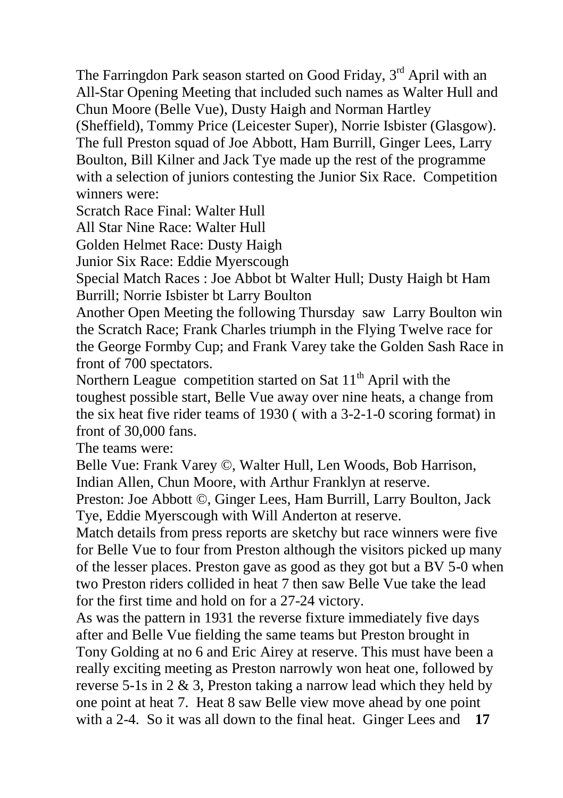The Farringdon Park season started on Good Friday, 3<sup>rd</sup> April with an All-Star Opening Meeting that included such names as Walter Hull and Chun Moore (Belle Vue), Dusty Haigh and Norman Hartley (Sheffield), Tommy Price (Leicester Super), Norrie Isbister (Glasgow). The full Preston squad of Joe Abbott, Ham Burrill, Ginger Lees, Larry Boulton, Bill Kilner and Jack Tye made up the rest of the programme with a selection of juniors contesting the Junior Six Race. Competition winners were:

Scratch Race Final: Walter Hull

All Star Nine Race: Walter Hull

Golden Helmet Race: Dusty Haigh

Junior Six Race: Eddie Myerscough

Special Match Races : Joe Abbot bt Walter Hull; Dusty Haigh bt Ham Burrill; Norrie Isbister bt Larry Boulton

Another Open Meeting the following Thursday saw Larry Boulton win the Scratch Race; Frank Charles triumph in the Flying Twelve race for the George Formby Cup; and Frank Varey take the Golden Sash Race in front of 700 spectators.

Northern League competition started on Sat 11<sup>th</sup> April with the toughest possible start, Belle Vue away over nine heats, a change from the six heat five rider teams of 1930 ( with a 3-2-1-0 scoring format) in front of 30,000 fans.

The teams were:

Belle Vue: Frank Varey ©, Walter Hull, Len Woods, Bob Harrison, Indian Allen, Chun Moore, with Arthur Franklyn at reserve.

Preston: Joe Abbott ©, Ginger Lees, Ham Burrill, Larry Boulton, Jack Tye, Eddie Myerscough with Will Anderton at reserve.

Match details from press reports are sketchy but race winners were five for Belle Vue to four from Preston although the visitors picked up many of the lesser places. Preston gave as good as they got but a BV 5-0 when two Preston riders collided in heat 7 then saw Belle Vue take the lead for the first time and hold on for a 27-24 victory.

As was the pattern in 1931 the reverse fixture immediately five days after and Belle Vue fielding the same teams but Preston brought in Tony Golding at no 6 and Eric Airey at reserve. This must have been a really exciting meeting as Preston narrowly won heat one, followed by reverse 5-1s in 2 & 3, Preston taking a narrow lead which they held by one point at heat 7. Heat 8 saw Belle view move ahead by one point with a 2-4. So it was all down to the final heat. Ginger Lees and **17**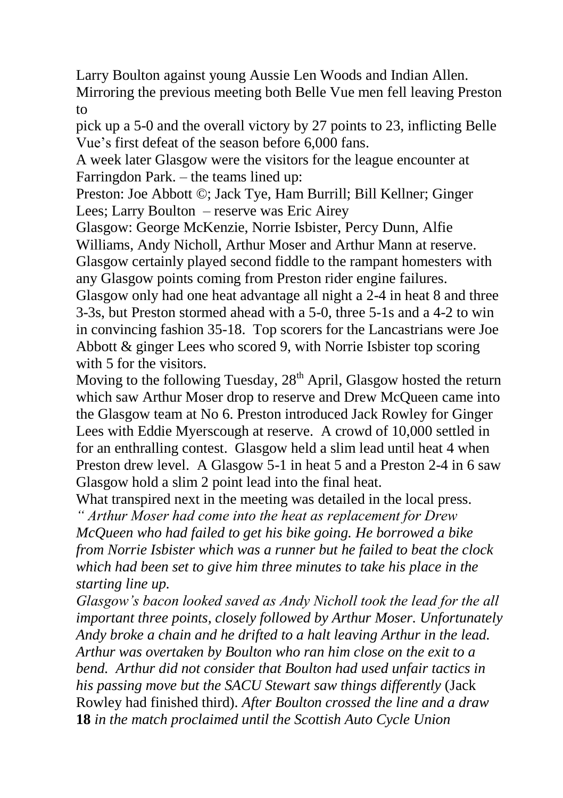Larry Boulton against young Aussie Len Woods and Indian Allen. Mirroring the previous meeting both Belle Vue men fell leaving Preston to

pick up a 5-0 and the overall victory by 27 points to 23, inflicting Belle Vue's first defeat of the season before 6,000 fans.

A week later Glasgow were the visitors for the league encounter at Farringdon Park. – the teams lined up:

Preston: Joe Abbott ©; Jack Tye, Ham Burrill; Bill Kellner; Ginger Lees; Larry Boulton – reserve was Eric Airey

Glasgow: George McKenzie, Norrie Isbister, Percy Dunn, Alfie Williams, Andy Nicholl, Arthur Moser and Arthur Mann at reserve. Glasgow certainly played second fiddle to the rampant homesters with any Glasgow points coming from Preston rider engine failures.

Glasgow only had one heat advantage all night a 2-4 in heat 8 and three 3-3s, but Preston stormed ahead with a 5-0, three 5-1s and a 4-2 to win in convincing fashion 35-18. Top scorers for the Lancastrians were Joe Abbott & ginger Lees who scored 9, with Norrie Isbister top scoring with 5 for the visitors.

Moving to the following Tuesday,  $28<sup>th</sup>$  April, Glasgow hosted the return which saw Arthur Moser drop to reserve and Drew McQueen came into the Glasgow team at No 6. Preston introduced Jack Rowley for Ginger Lees with Eddie Myerscough at reserve. A crowd of 10,000 settled in for an enthralling contest. Glasgow held a slim lead until heat 4 when Preston drew level. A Glasgow 5-1 in heat 5 and a Preston 2-4 in 6 saw Glasgow hold a slim 2 point lead into the final heat.

What transpired next in the meeting was detailed in the local press. *" Arthur Moser had come into the heat as replacement for Drew* 

*McQueen who had failed to get his bike going. He borrowed a bike from Norrie Isbister which was a runner but he failed to beat the clock which had been set to give him three minutes to take his place in the starting line up.*

*Glasgow's bacon looked saved as Andy Nicholl took the lead for the all important three points, closely followed by Arthur Moser. Unfortunately Andy broke a chain and he drifted to a halt leaving Arthur in the lead. Arthur was overtaken by Boulton who ran him close on the exit to a bend. Arthur did not consider that Boulton had used unfair tactics in his passing move but the SACU Stewart saw things differently* (Jack Rowley had finished third). *After Boulton crossed the line and a draw*  **18** *in the match proclaimed until the Scottish Auto Cycle Union*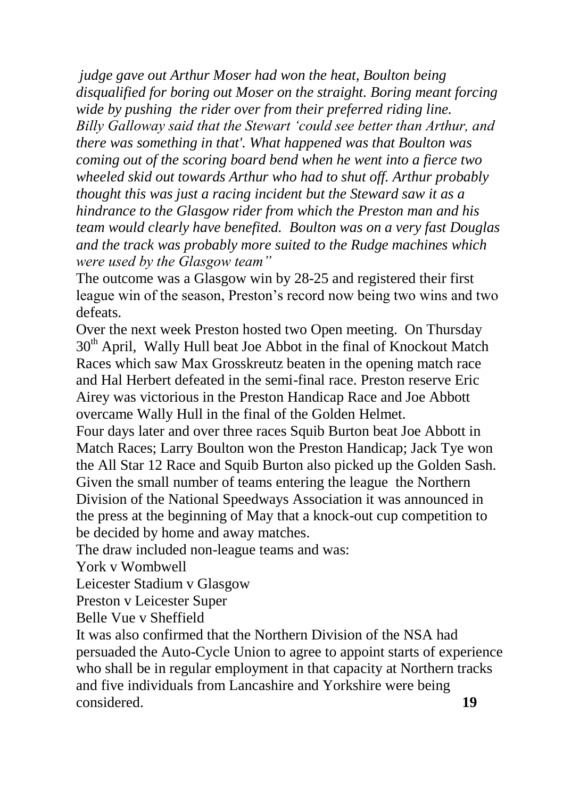*judge gave out Arthur Moser had won the heat, Boulton being disqualified for boring out Moser on the straight. Boring meant forcing wide by pushing the rider over from their preferred riding line. Billy Galloway said that the Stewart 'could see better than Arthur, and there was something in that'. What happened was that Boulton was coming out of the scoring board bend when he went into a fierce two wheeled skid out towards Arthur who had to shut off. Arthur probably thought this was just a racing incident but the Steward saw it as a hindrance to the Glasgow rider from which the Preston man and his team would clearly have benefited. Boulton was on a very fast Douglas and the track was probably more suited to the Rudge machines which were used by the Glasgow team"*

The outcome was a Glasgow win by 28-25 and registered their first league win of the season, Preston's record now being two wins and two defeats.

Over the next week Preston hosted two Open meeting. On Thursday 30<sup>th</sup> April, Wally Hull beat Joe Abbot in the final of Knockout Match Races which saw Max Grosskreutz beaten in the opening match race and Hal Herbert defeated in the semi-final race. Preston reserve Eric Airey was victorious in the Preston Handicap Race and Joe Abbott overcame Wally Hull in the final of the Golden Helmet.

Four days later and over three races Squib Burton beat Joe Abbott in Match Races; Larry Boulton won the Preston Handicap; Jack Tye won the All Star 12 Race and Squib Burton also picked up the Golden Sash. Given the small number of teams entering the league the Northern Division of the National Speedways Association it was announced in the press at the beginning of May that a knock-out cup competition to be decided by home and away matches.

The draw included non-league teams and was:

York v Wombwell

Leicester Stadium v Glasgow

Preston v Leicester Super

Belle Vue v Sheffield

It was also confirmed that the Northern Division of the NSA had persuaded the Auto-Cycle Union to agree to appoint starts of experience who shall be in regular employment in that capacity at Northern tracks and five individuals from Lancashire and Yorkshire were being considered. **19**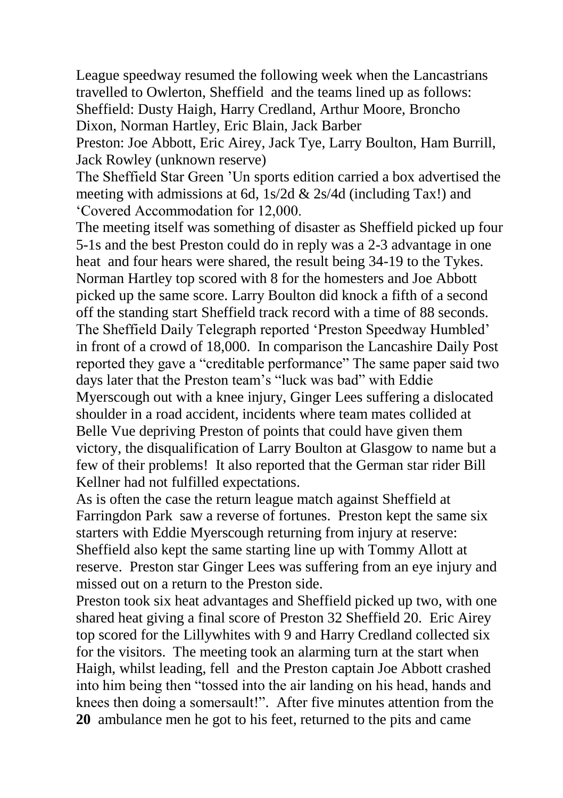League speedway resumed the following week when the Lancastrians travelled to Owlerton, Sheffield and the teams lined up as follows: Sheffield: Dusty Haigh, Harry Credland, Arthur Moore, Broncho Dixon, Norman Hartley, Eric Blain, Jack Barber

Preston: Joe Abbott, Eric Airey, Jack Tye, Larry Boulton, Ham Burrill, Jack Rowley (unknown reserve)

The Sheffield Star Green 'Un sports edition carried a box advertised the meeting with admissions at 6d, 1s/2d & 2s/4d (including Tax!) and 'Covered Accommodation for 12,000.

The meeting itself was something of disaster as Sheffield picked up four 5-1s and the best Preston could do in reply was a 2-3 advantage in one heat and four hears were shared, the result being 34-19 to the Tykes. Norman Hartley top scored with 8 for the homesters and Joe Abbott picked up the same score. Larry Boulton did knock a fifth of a second off the standing start Sheffield track record with a time of 88 seconds. The Sheffield Daily Telegraph reported 'Preston Speedway Humbled' in front of a crowd of 18,000. In comparison the Lancashire Daily Post reported they gave a "creditable performance" The same paper said two days later that the Preston team's "luck was bad" with Eddie Myerscough out with a knee injury, Ginger Lees suffering a dislocated shoulder in a road accident, incidents where team mates collided at Belle Vue depriving Preston of points that could have given them victory, the disqualification of Larry Boulton at Glasgow to name but a few of their problems! It also reported that the German star rider Bill Kellner had not fulfilled expectations.

As is often the case the return league match against Sheffield at Farringdon Park saw a reverse of fortunes. Preston kept the same six starters with Eddie Myerscough returning from injury at reserve: Sheffield also kept the same starting line up with Tommy Allott at reserve. Preston star Ginger Lees was suffering from an eye injury and missed out on a return to the Preston side.

Preston took six heat advantages and Sheffield picked up two, with one shared heat giving a final score of Preston 32 Sheffield 20. Eric Airey top scored for the Lillywhites with 9 and Harry Credland collected six for the visitors. The meeting took an alarming turn at the start when Haigh, whilst leading, fell and the Preston captain Joe Abbott crashed into him being then "tossed into the air landing on his head, hands and knees then doing a somersault!". After five minutes attention from the **20** ambulance men he got to his feet, returned to the pits and came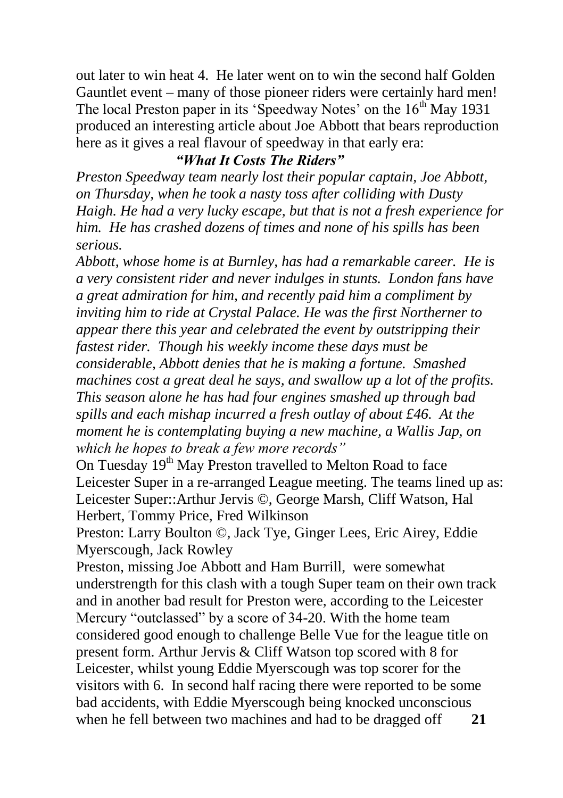out later to win heat 4. He later went on to win the second half Golden Gauntlet event – many of those pioneer riders were certainly hard men! The local Preston paper in its 'Speedway Notes' on the  $16<sup>th</sup>$  May 1931 produced an interesting article about Joe Abbott that bears reproduction here as it gives a real flavour of speedway in that early era:

### *"What It Costs The Riders"*

*Preston Speedway team nearly lost their popular captain, Joe Abbott, on Thursday, when he took a nasty toss after colliding with Dusty Haigh. He had a very lucky escape, but that is not a fresh experience for him. He has crashed dozens of times and none of his spills has been serious.*

*Abbott, whose home is at Burnley, has had a remarkable career. He is a very consistent rider and never indulges in stunts. London fans have a great admiration for him, and recently paid him a compliment by inviting him to ride at Crystal Palace. He was the first Northerner to appear there this year and celebrated the event by outstripping their fastest rider. Though his weekly income these days must be considerable, Abbott denies that he is making a fortune. Smashed machines cost a great deal he says, and swallow up a lot of the profits. This season alone he has had four engines smashed up through bad spills and each mishap incurred a fresh outlay of about £46. At the moment he is contemplating buying a new machine, a Wallis Jap, on which he hopes to break a few more records"*

On Tuesday 19<sup>th</sup> May Preston travelled to Melton Road to face Leicester Super in a re-arranged League meeting. The teams lined up as: Leicester Super::Arthur Jervis ©, George Marsh, Cliff Watson, Hal Herbert, Tommy Price, Fred Wilkinson

Preston: Larry Boulton ©, Jack Tye, Ginger Lees, Eric Airey, Eddie Myerscough, Jack Rowley

Preston, missing Joe Abbott and Ham Burrill, were somewhat understrength for this clash with a tough Super team on their own track and in another bad result for Preston were, according to the Leicester Mercury "outclassed" by a score of 34-20. With the home team considered good enough to challenge Belle Vue for the league title on present form. Arthur Jervis & Cliff Watson top scored with 8 for Leicester, whilst young Eddie Myerscough was top scorer for the visitors with 6. In second half racing there were reported to be some bad accidents, with Eddie Myerscough being knocked unconscious when he fell between two machines and had to be dragged off **21**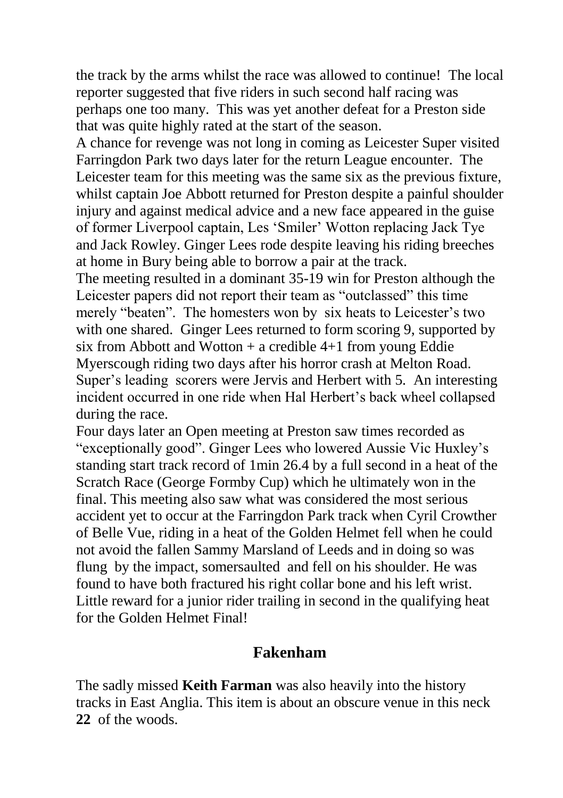the track by the arms whilst the race was allowed to continue! The local reporter suggested that five riders in such second half racing was perhaps one too many. This was yet another defeat for a Preston side that was quite highly rated at the start of the season.

A chance for revenge was not long in coming as Leicester Super visited Farringdon Park two days later for the return League encounter. The Leicester team for this meeting was the same six as the previous fixture, whilst captain Joe Abbott returned for Preston despite a painful shoulder injury and against medical advice and a new face appeared in the guise of former Liverpool captain, Les 'Smiler' Wotton replacing Jack Tye and Jack Rowley. Ginger Lees rode despite leaving his riding breeches at home in Bury being able to borrow a pair at the track.

The meeting resulted in a dominant 35-19 win for Preston although the Leicester papers did not report their team as "outclassed" this time merely "beaten". The homesters won by six heats to Leicester's two with one shared. Ginger Lees returned to form scoring 9, supported by six from Abbott and Wotton  $+$  a credible 4 $+1$  from young Eddie Myerscough riding two days after his horror crash at Melton Road. Super's leading scorers were Jervis and Herbert with 5. An interesting incident occurred in one ride when Hal Herbert's back wheel collapsed during the race.

Four days later an Open meeting at Preston saw times recorded as "exceptionally good". Ginger Lees who lowered Aussie Vic Huxley's standing start track record of 1min 26.4 by a full second in a heat of the Scratch Race (George Formby Cup) which he ultimately won in the final. This meeting also saw what was considered the most serious accident yet to occur at the Farringdon Park track when Cyril Crowther of Belle Vue, riding in a heat of the Golden Helmet fell when he could not avoid the fallen Sammy Marsland of Leeds and in doing so was flung by the impact, somersaulted and fell on his shoulder. He was found to have both fractured his right collar bone and his left wrist. Little reward for a junior rider trailing in second in the qualifying heat for the Golden Helmet Final!

#### **Fakenham**

The sadly missed **Keith Farman** was also heavily into the history tracks in East Anglia. This item is about an obscure venue in this neck **22** of the woods.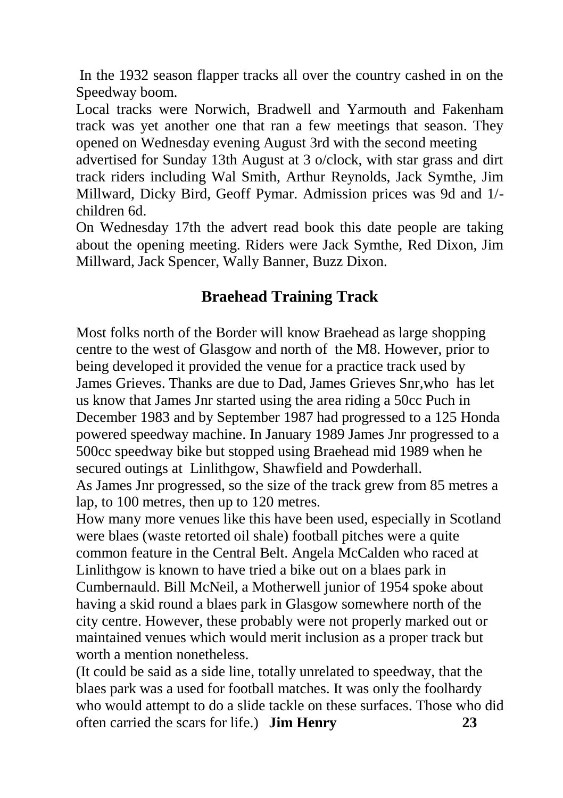In the 1932 season flapper tracks all over the country cashed in on the Speedway boom.

Local tracks were Norwich, Bradwell and Yarmouth and Fakenham track was yet another one that ran a few meetings that season. They opened on Wednesday evening August 3rd with the second meeting

advertised for Sunday 13th August at 3 o/clock, with star grass and dirt track riders including Wal Smith, Arthur Reynolds, Jack Symthe, Jim Millward, Dicky Bird, Geoff Pymar. Admission prices was 9d and 1/ children 6d.

On Wednesday 17th the advert read book this date people are taking about the opening meeting. Riders were Jack Symthe, Red Dixon, Jim Millward, Jack Spencer, Wally Banner, Buzz Dixon.

# **Braehead Training Track**

Most folks north of the Border will know Braehead as large shopping centre to the west of Glasgow and north of the M8. However, prior to being developed it provided the venue for a practice track used by James Grieves. Thanks are due to Dad, James Grieves Snr,who has let us know that James Jnr started using the area riding a 50cc Puch in December 1983 and by September 1987 had progressed to a 125 Honda powered speedway machine. In January 1989 James Jnr progressed to a 500cc speedway bike but stopped using Braehead mid 1989 when he secured outings at Linlithgow, Shawfield and Powderhall.

As James Jnr progressed, so the size of the track grew from 85 metres a lap, to 100 metres, then up to 120 metres.

How many more venues like this have been used, especially in Scotland were blaes (waste retorted oil shale) football pitches were a quite common feature in the Central Belt. Angela McCalden who raced at Linlithgow is known to have tried a bike out on a blaes park in Cumbernauld. Bill McNeil, a Motherwell junior of 1954 spoke about having a skid round a blaes park in Glasgow somewhere north of the city centre. However, these probably were not properly marked out or maintained venues which would merit inclusion as a proper track but worth a mention nonetheless.

(It could be said as a side line, totally unrelated to speedway, that the blaes park was a used for football matches. It was only the foolhardy who would attempt to do a slide tackle on these surfaces. Those who did often carried the scars for life.) **Jim Henry 23**